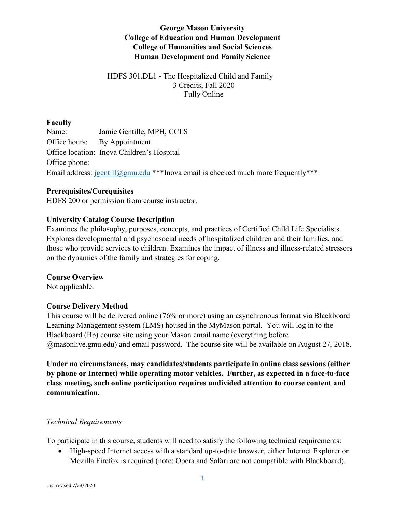# **George Mason University College of Education and Human Development College of Humanities and Social Sciences Human Development and Family Science**

### HDFS 301.DL1 - The Hospitalized Child and Family 3 Credits, Fall 2020 Fully Online

### **Faculty**

Name: Jamie Gentille, MPH, CCLS Office hours: By Appointment Office location: Inova Children's Hospital Office phone: Email address:  $j$ gentill@gmu.edu \*\*\*Inova email is checked much more frequently\*\*\*

### **Prerequisites/Corequisites**

HDFS 200 or permission from course instructor.

## **University Catalog Course Description**

Examines the philosophy, purposes, concepts, and practices of Certified Child Life Specialists. Explores developmental and psychosocial needs of hospitalized children and their families, and those who provide services to children. Examines the impact of illness and illness-related stressors on the dynamics of the family and strategies for coping.

### **Course Overview**

Not applicable.

## **Course Delivery Method**

This course will be delivered online (76% or more) using an asynchronous format via Blackboard Learning Management system (LMS) housed in the MyMason portal. You will log in to the Blackboard (Bb) course site using your Mason email name (everything before @masonlive.gmu.edu) and email password. The course site will be available on August 27, 2018.

**Under no circumstances, may candidates/students participate in online class sessions (either by phone or Internet) while operating motor vehicles. Further, as expected in a face-to-face class meeting, such online participation requires undivided attention to course content and communication.**

### *Technical Requirements*

To participate in this course, students will need to satisfy the following technical requirements:

• High-speed Internet access with a standard up-to-date browser, either Internet Explorer or Mozilla Firefox is required (note: Opera and Safari are not compatible with Blackboard).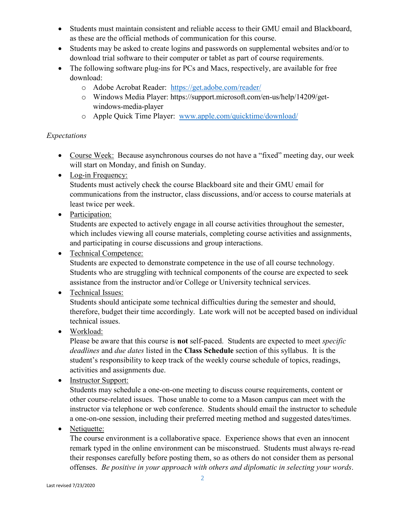- Students must maintain consistent and reliable access to their GMU email and Blackboard, as these are the official methods of communication for this course.
- Students may be asked to create logins and passwords on supplemental websites and/or to download trial software to their computer or tablet as part of course requirements.
- The following software plug-ins for PCs and Macs, respectively, are available for free download:
	- o Adobe Acrobat Reader: <https://get.adobe.com/reader/>
	- o Windows Media Player: https://support.microsoft.com/en-us/help/14209/getwindows-media-player
	- o Apple Quick Time Player: [www.apple.com/quicktime/download/](http://www.apple.com/quicktime/download/)

## *Expectations*

- Course Week: Because asynchronous courses do not have a "fixed" meeting day, our week will start on Monday, and finish on Sunday.
- Log-in Frequency:

Students must actively check the course Blackboard site and their GMU email for communications from the instructor, class discussions, and/or access to course materials at least twice per week.

• Participation:

Students are expected to actively engage in all course activities throughout the semester, which includes viewing all course materials, completing course activities and assignments, and participating in course discussions and group interactions.

# • Technical Competence:

Students are expected to demonstrate competence in the use of all course technology. Students who are struggling with technical components of the course are expected to seek assistance from the instructor and/or College or University technical services.

# • Technical Issues:

Students should anticipate some technical difficulties during the semester and should, therefore, budget their time accordingly. Late work will not be accepted based on individual technical issues.

• Workload:

Please be aware that this course is **not** self-paced. Students are expected to meet *specific deadlines* and *due dates* listed in the **Class Schedule** section of this syllabus. It is the student's responsibility to keep track of the weekly course schedule of topics, readings, activities and assignments due.

• Instructor Support:

Students may schedule a one-on-one meeting to discuss course requirements, content or other course-related issues. Those unable to come to a Mason campus can meet with the instructor via telephone or web conference. Students should email the instructor to schedule a one-on-one session, including their preferred meeting method and suggested dates/times.

## • Netiquette:

The course environment is a collaborative space. Experience shows that even an innocent remark typed in the online environment can be misconstrued. Students must always re-read their responses carefully before posting them, so as others do not consider them as personal offenses. *Be positive in your approach with others and diplomatic in selecting your words*.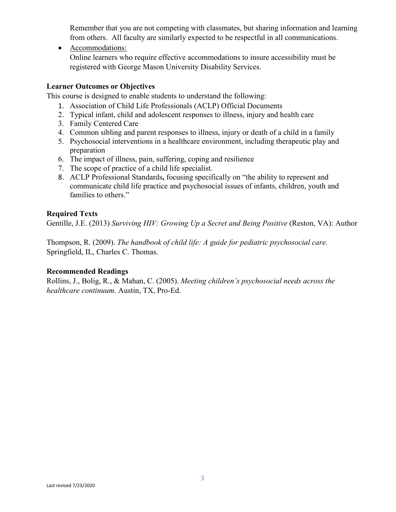Remember that you are not competing with classmates, but sharing information and learning from others. All faculty are similarly expected to be respectful in all communications.

• Accommodations:

Online learners who require effective accommodations to insure accessibility must be registered with George Mason University Disability Services.

### **Learner Outcomes or Objectives**

This course is designed to enable students to understand the following:

- 1. Association of Child Life Professionals (ACLP) Official Documents
- 2. Typical infant, child and adolescent responses to illness, injury and health care
- 3. Family Centered Care
- 4. Common sibling and parent responses to illness, injury or death of a child in a family
- 5. Psychosocial interventions in a healthcare environment, including therapeutic play and preparation
- 6. The impact of illness, pain, suffering, coping and resilience
- 7. The scope of practice of a child life specialist.
- 8. ACLP Professional Standards**,** focusing specifically on "the ability to represent and communicate child life practice and psychosocial issues of infants, children, youth and families to others."

### **Required Texts**

Gentille, J.E. (2013) *Surviving HIV: Growing Up a Secret and Being Positive* (Reston, VA): Author

Thompson, R. (2009). *The handbook of child life: A guide for pediatric psychosocial care.* Springfield, IL, Charles C. Thomas.

### **Recommended Readings**

Rollins, J., Bolig, R., & Mahan, C. (2005). *Meeting children's psychosocial needs across the healthcare continuum.* Austin, TX, Pro-Ed.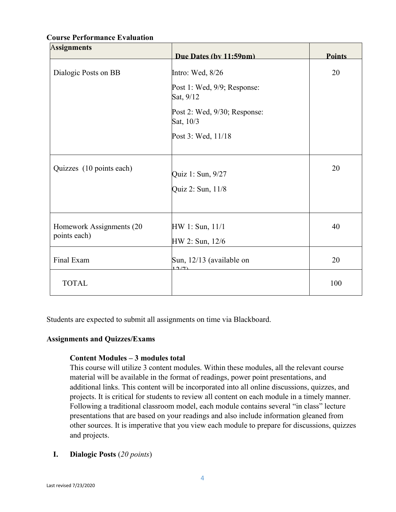| <b>Assignments</b>                       |                                           |               |
|------------------------------------------|-------------------------------------------|---------------|
|                                          | Due Dates (by 11:59nm)                    | <b>Points</b> |
| Dialogic Posts on BB                     | Intro: Wed, 8/26                          | 20            |
|                                          | Post 1: Wed, 9/9; Response:<br>Sat, 9/12  |               |
|                                          | Post 2: Wed, 9/30; Response:<br>Sat, 10/3 |               |
|                                          | Post 3: Wed, 11/18                        |               |
| Quizzes (10 points each)                 | Quiz 1: Sun, 9/27                         | 20            |
|                                          | Quiz 2: Sun, 11/8                         |               |
| Homework Assignments (20<br>points each) | HW 1: Sun, 11/1                           | 40            |
|                                          | HW 2: Sun, 12/6                           |               |
| Final Exam                               | Sun, 12/13 (available on<br>10(7)         | 20            |
| <b>TOTAL</b>                             |                                           | 100           |

### **Course Performance Evaluation**

Students are expected to submit all assignments on time via Blackboard.

### **Assignments and Quizzes/Exams**

### **Content Modules – 3 modules total**

This course will utilize 3 content modules. Within these modules, all the relevant course material will be available in the format of readings, power point presentations, and additional links. This content will be incorporated into all online discussions, quizzes, and projects. It is critical for students to review all content on each module in a timely manner. Following a traditional classroom model, each module contains several "in class" lecture presentations that are based on your readings and also include information gleaned from other sources. It is imperative that you view each module to prepare for discussions, quizzes and projects.

**I. Dialogic Posts** (*20 points*)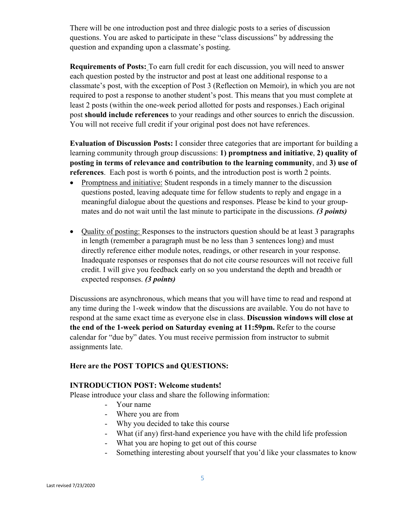There will be one introduction post and three dialogic posts to a series of discussion questions. You are asked to participate in these "class discussions" by addressing the question and expanding upon a classmate's posting.

**Requirements of Posts:** To earn full credit for each discussion, you will need to answer each question posted by the instructor and post at least one additional response to a classmate's post, with the exception of Post 3 (Reflection on Memoir), in which you are not required to post a response to another student's post. This means that you must complete at least 2 posts (within the one-week period allotted for posts and responses.) Each original post **should include references** to your readings and other sources to enrich the discussion. You will not receive full credit if your original post does not have references.

**Evaluation of Discussion Posts:** I consider three categories that are important for building a learning community through group discussions: **1) promptness and initiative**, **2) quality of posting in terms of relevance and contribution to the learning community**, and **3) use of references**. Each post is worth 6 points, and the introduction post is worth 2 points.

- Promptness and initiative: Student responds in a timely manner to the discussion questions posted, leaving adequate time for fellow students to reply and engage in a meaningful dialogue about the questions and responses. Please be kind to your groupmates and do not wait until the last minute to participate in the discussions. *(3 points)*
- Quality of posting: Responses to the instructors question should be at least 3 paragraphs in length (remember a paragraph must be no less than 3 sentences long) and must directly reference either module notes, readings, or other research in your response. Inadequate responses or responses that do not cite course resources will not receive full credit. I will give you feedback early on so you understand the depth and breadth or expected responses. *(3 points)*

Discussions are asynchronous, which means that you will have time to read and respond at any time during the 1-week window that the discussions are available. You do not have to respond at the same exact time as everyone else in class. **Discussion windows will close at the end of the 1-week period on Saturday evening at 11:59pm.** Refer to the course calendar for "due by" dates. You must receive permission from instructor to submit assignments late.

## **Here are the POST TOPICS and QUESTIONS:**

### **INTRODUCTION POST: Welcome students!**

Please introduce your class and share the following information:

- Your name
- Where you are from
- Why you decided to take this course
- What (if any) first-hand experience you have with the child life profession
- What you are hoping to get out of this course
- Something interesting about yourself that you'd like your classmates to know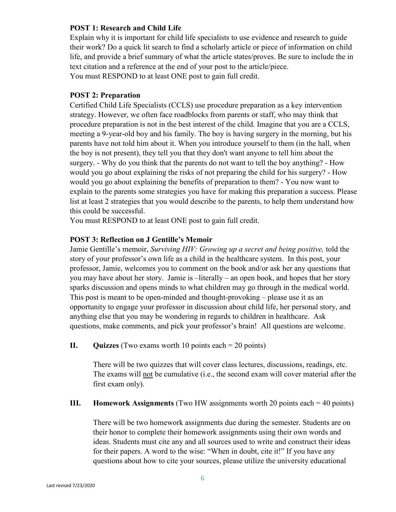### **POST 1: Research and Child Life**

Explain why it is important for child life specialists to use evidence and research to guide their work? Do a quick lit search to find a scholarly article or piece of information on child life, and provide a brief summary of what the article states/proves. Be sure to include the in text citation and a reference at the end of your post to the article/piece. You must RESPOND to at least ONE post to gain full credit.

### **POST 2: Preparation**

Certified Child Life Specialists (CCLS) use procedure preparation as a key intervention strategy. However, we often face roadblocks from parents or staff, who may think that procedure preparation is not in the best interest of the child. Imagine that you are a CCLS, meeting a 9-year-old boy and his family. The boy is having surgery in the morning, but his parents have not told him about it. When you introduce yourself to them (in the hall, when the boy is not present), they tell you that they don't want anyone to tell him about the surgery. - Why do you think that the parents do not want to tell the boy anything? - How would you go about explaining the risks of not preparing the child for his surgery? - How would you go about explaining the benefits of preparation to them? - You now want to explain to the parents some strategies you have for making this preparation a success. Please list at least 2 strategies that you would describe to the parents, to help them understand how this could be successful.

You must RESPOND to at least ONE post to gain full credit.

### **POST 3: Reflection on J Gentille's Memoir**

Jamie Gentille's memoir, *Surviving HIV: Growing up a secret and being positive,* told the story of your professor's own life as a child in the healthcare system. In this post, your professor, Jamie, welcomes you to comment on the book and/or ask her any questions that you may have about her story. Jamie is –literally – an open book, and hopes that her story sparks discussion and opens minds to what children may go through in the medical world. This post is meant to be open-minded and thought-provoking – please use it as an opportunity to engage your professor in discussion about child life, her personal story, and anything else that you may be wondering in regards to children in healthcare. Ask questions, make comments, and pick your professor's brain! All questions are welcome.

### **II. Quizzes** (Two exams worth 10 points each = 20 points)

There will be two quizzes that will cover class lectures, discussions, readings, etc. The exams will not be cumulative (i.e., the second exam will cover material after the first exam only).

### **III. Homework Assignments** (Two HW assignments worth 20 points each = 40 points)

There will be two homework assignments due during the semester. Students are on their honor to complete their homework assignments using their own words and ideas. Students must cite any and all sources used to write and construct their ideas for their papers. A word to the wise: "When in doubt, cite it!" If you have any questions about how to cite your sources, please utilize the university educational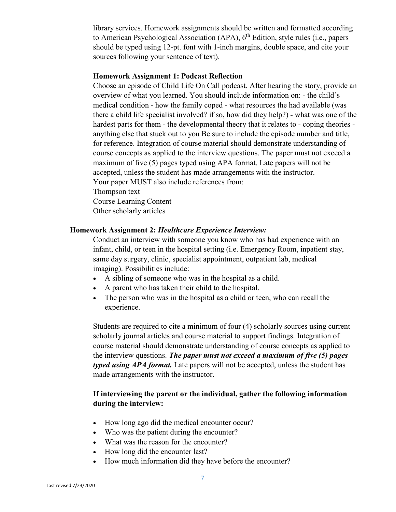library services. Homework assignments should be written and formatted according to American Psychological Association (APA),  $6<sup>th</sup>$  Edition, style rules (i.e., papers should be typed using 12-pt. font with 1-inch margins, double space, and cite your sources following your sentence of text).

#### **Homework Assignment 1: Podcast Reflection**

Choose an episode of Child Life On Call podcast. After hearing the story, provide an overview of what you learned. You should include information on: - the child's medical condition - how the family coped - what resources the had available (was there a child life specialist involved? if so, how did they help?) - what was one of the hardest parts for them - the developmental theory that it relates to - coping theories anything else that stuck out to you Be sure to include the episode number and title, for reference. Integration of course material should demonstrate understanding of course concepts as applied to the interview questions. The paper must not exceed a maximum of five (5) pages typed using APA format. Late papers will not be accepted, unless the student has made arrangements with the instructor. Your paper MUST also include references from: Thompson text Course Learning Content Other scholarly articles

#### **Homework Assignment 2:** *Healthcare Experience Interview:*

Conduct an interview with someone you know who has had experience with an infant, child, or teen in the hospital setting (i.e. Emergency Room, inpatient stay, same day surgery, clinic, specialist appointment, outpatient lab, medical imaging). Possibilities include:

- A sibling of someone who was in the hospital as a child.
- A parent who has taken their child to the hospital.
- The person who was in the hospital as a child or teen, who can recall the experience.

Students are required to cite a minimum of four (4) scholarly sources using current scholarly journal articles and course material to support findings. Integration of course material should demonstrate understanding of course concepts as applied to the interview questions. *The paper must not exceed a maximum of five (5) pages typed using APA format.* Late papers will not be accepted, unless the student has made arrangements with the instructor.

### **If interviewing the parent or the individual, gather the following information during the interview:**

- How long ago did the medical encounter occur?
- Who was the patient during the encounter?
- What was the reason for the encounter?
- How long did the encounter last?
- How much information did they have before the encounter?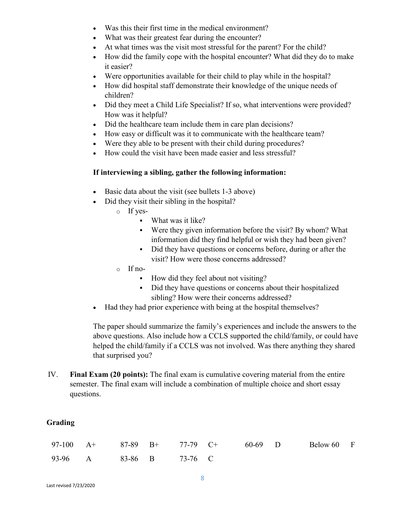- Was this their first time in the medical environment?
- What was their greatest fear during the encounter?
- At what times was the visit most stressful for the parent? For the child?
- How did the family cope with the hospital encounter? What did they do to make it easier?
- Were opportunities available for their child to play while in the hospital?
- How did hospital staff demonstrate their knowledge of the unique needs of children?
- Did they meet a Child Life Specialist? If so, what interventions were provided? How was it helpful?
- Did the healthcare team include them in care plan decisions?
- How easy or difficult was it to communicate with the healthcare team?
- Were they able to be present with their child during procedures?
- How could the visit have been made easier and less stressful?

### **If interviewing a sibling, gather the following information:**

- Basic data about the visit (see bullets 1-3 above)
- Did they visit their sibling in the hospital?
	- o If yes-
		- What was it like?
		- Were they given information before the visit? By whom? What information did they find helpful or wish they had been given?
		- Did they have questions or concerns before, during or after the visit? How were those concerns addressed?
	- o If no-
		- How did they feel about not visiting?
		- Did they have questions or concerns about their hospitalized sibling? How were their concerns addressed?
- Had they had prior experience with being at the hospital themselves?

The paper should summarize the family's experiences and include the answers to the above questions. Also include how a CCLS supported the child/family, or could have helped the child/family if a CCLS was not involved. Was there anything they shared that surprised you?

IV. **Final Exam (20 points):** The final exam is cumulative covering material from the entire semester. The final exam will include a combination of multiple choice and short essay questions.

### **Grading**

|                         |  |  |  | 97-100 A+ 87-89 B+ 77-79 C+ 60-69 D Below 60 F |  |
|-------------------------|--|--|--|------------------------------------------------|--|
| 93-96 A 83-86 B 73-76 C |  |  |  |                                                |  |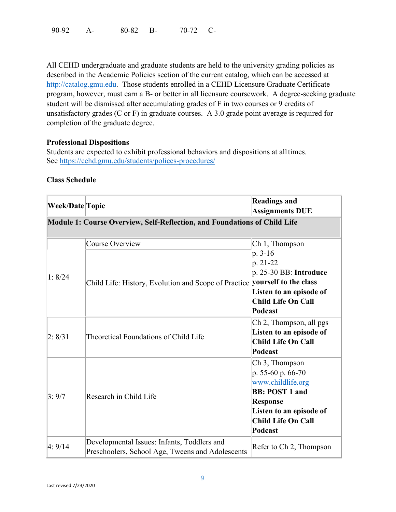90-92 A- 80-82 B- 70-72 C-

All CEHD undergraduate and graduate students are held to the university grading policies as described in the Academic Policies section of the current catalog, which can be accessed at [http://catalog.gmu.edu.](http://catalog.gmu.edu/) Those students enrolled in a CEHD Licensure Graduate Certificate program, however, must earn a B- or better in all licensure coursework. A degree-seeking graduate student will be dismissed after accumulating grades of F in two courses or 9 credits of unsatisfactory grades (C or F) in graduate courses. A 3.0 grade point average is required for completion of the graduate degree.

#### **Professional Dispositions**

Students are expected to exhibit professional behaviors and dispositions at alltimes. See<https://cehd.gmu.edu/students/polices-procedures/>

#### **Class Schedule**

| Week/Date Topic |                                                                                                 | <b>Readings and</b><br><b>Assignments DUE</b>                                                                                                                           |
|-----------------|-------------------------------------------------------------------------------------------------|-------------------------------------------------------------------------------------------------------------------------------------------------------------------------|
|                 | Module 1: Course Overview, Self-Reflection, and Foundations of Child Life                       |                                                                                                                                                                         |
| 1: 8/24         | Course Overview<br>Child Life: History, Evolution and Scope of Practice yourself to the class   | Ch 1, Thompson<br>p. 3-16<br>p. 21-22<br>p. 25-30 BB: Introduce<br>Listen to an episode of<br><b>Child Life On Call</b><br>Podcast                                      |
| 2: 8/31         | Theoretical Foundations of Child Life                                                           | Ch 2, Thompson, all pgs<br>Listen to an episode of<br><b>Child Life On Call</b><br>Podcast                                                                              |
| 3:9/7           | Research in Child Life                                                                          | Ch 3, Thompson<br>p. 55-60 p. 66-70<br>www.childlife.org<br><b>BB: POST 1 and</b><br><b>Response</b><br>Listen to an episode of<br><b>Child Life On Call</b><br>Podcast |
| 4:9/14          | Developmental Issues: Infants, Toddlers and<br>Preschoolers, School Age, Tweens and Adolescents | Refer to Ch 2, Thompson                                                                                                                                                 |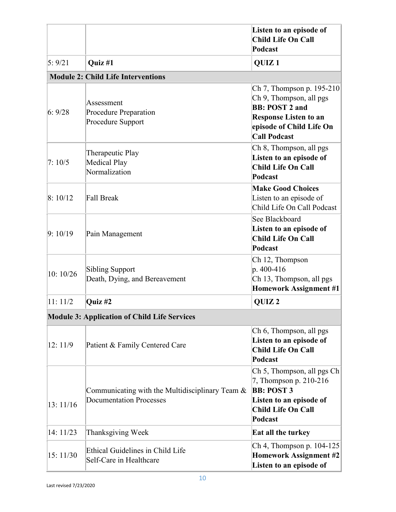|           |                                                                                      | Listen to an episode of<br><b>Child Life On Call</b><br>Podcast                                                                                                  |
|-----------|--------------------------------------------------------------------------------------|------------------------------------------------------------------------------------------------------------------------------------------------------------------|
| 5:9/21    | Quiz #1                                                                              | QUIZ <sub>1</sub>                                                                                                                                                |
|           | <b>Module 2: Child Life Interventions</b>                                            |                                                                                                                                                                  |
| 6:9/28    | Assessment<br><b>Procedure Preparation</b><br>Procedure Support                      | Ch 7, Thompson p. 195-210<br>Ch 9, Thompson, all pgs<br><b>BB: POST 2 and</b><br><b>Response Listen to an</b><br>episode of Child Life On<br><b>Call Podcast</b> |
| 7:10/5    | Therapeutic Play<br><b>Medical Play</b><br>Normalization                             | Ch 8, Thompson, all pgs<br>Listen to an episode of<br><b>Child Life On Call</b><br>Podcast                                                                       |
| 8:10/12   | Fall Break                                                                           | <b>Make Good Choices</b><br>Listen to an episode of<br>Child Life On Call Podcast                                                                                |
| 9:10/19   | Pain Management                                                                      | See Blackboard<br>Listen to an episode of<br><b>Child Life On Call</b><br>Podcast                                                                                |
| 10:10/26  | <b>Sibling Support</b><br>Death, Dying, and Bereavement                              | Ch 12, Thompson<br>p. 400-416<br>Ch 13, Thompson, all pgs<br><b>Homework Assignment #1</b>                                                                       |
| 11:11/2   | Quiz #2                                                                              | QUIZ <sub>2</sub>                                                                                                                                                |
|           | <b>Module 3: Application of Child Life Services</b>                                  |                                                                                                                                                                  |
| 12:11/9   | Patient & Family Centered Care                                                       | Ch 6, Thompson, all pgs<br>Listen to an episode of<br><b>Child Life On Call</b><br>Podcast                                                                       |
| 13:11/16  | Communicating with the Multidisciplinary Team $\&$<br><b>Documentation Processes</b> | Ch 5, Thompson, all pgs Ch<br>7, Thompson p. 210-216<br><b>BB: POST 3</b><br>Listen to an episode of<br>Child Life On Call<br>Podcast                            |
| 14: 11/23 | Thanksgiving Week                                                                    | Eat all the turkey                                                                                                                                               |
| 15: 11/30 | Ethical Guidelines in Child Life<br>Self-Care in Healthcare                          | Ch 4, Thompson p. $104-125$<br>Homework Assignment #2<br>Listen to an episode of                                                                                 |